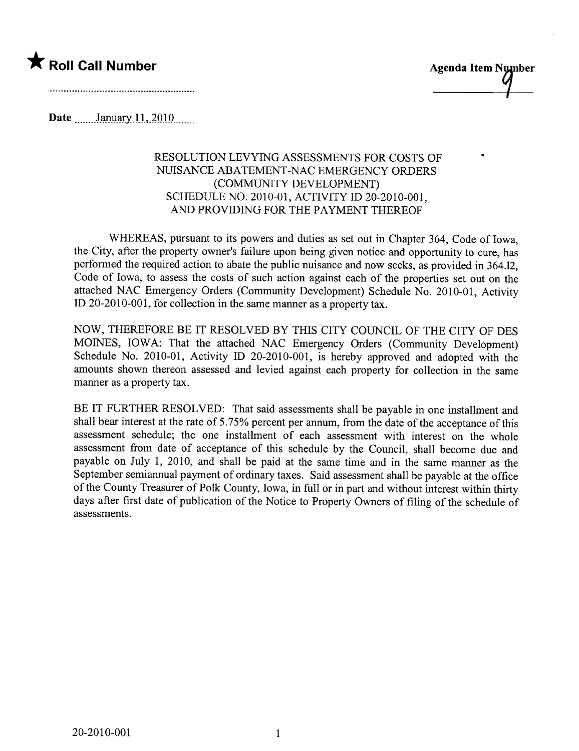



..

Date \_\_\_\_\_ January 11, 2010 \_\_\_\_.

## RESOLUTION LEVYING ASSESSMENTS FOR COSTS OF NUISANCE ABATEMENT-NAC EMERGENCY ORDERS (COMMUNITY DEVELOPMENT) SCHEDULE NO. 2010-01, ACTIVITY ID 20-2010-001, AND PROVIDING FOR THE PAYMENT THEREOF

WHEREAS, pursuant to its powers and duties as set out in Chapter 364, Code of Iowa, the City, after the property owner's failure upon being given notice and opportunity to cure, has performed the required action to abate the public nuisance and now seeks, as provided in 364.12, Code of Iowa, to assess the costs of such action against each of the properties set out on the attached NAC Emergency Orders (Community Development) Schedule No. 2010-01, Activity il 20-2010-001, for collection in the same manner as a property tax.

NOW, THEREFORE BE IT RESOLVED BY THIS CITY COUNCIL OF THE CITY OF DES MOINES, IOWA: That the attached NAC Emergency Orders (Community Development) Schedule No. 2010-01, Activity ID 20-2010-001, is hereby approved and adopted with the amounts shown thereon assessed and levied against each property for collection in the same manner as a property tax.

BE IT FURTHER RESOLVED: That said assessments shall be payable in one installment and shall bear interest at the rate of 5.75% percent per annum, from the date of the acceptance of this assessment schedule; the one installment of each assessment with interest on the whole assessment from date of acceptance of this schedule by the Council, shall become due and payable on July 1, 2010, and shall be paid at the same time and in the same manner as the September semiannual payment of ordinary taxes. Said assessment shall be payable at the office of the County Treasurer of Polk County, Iowa, in full or in part and without interest within thirty days after first date of publication of the Notice to Property Owners of filing of the schedule of assessments.